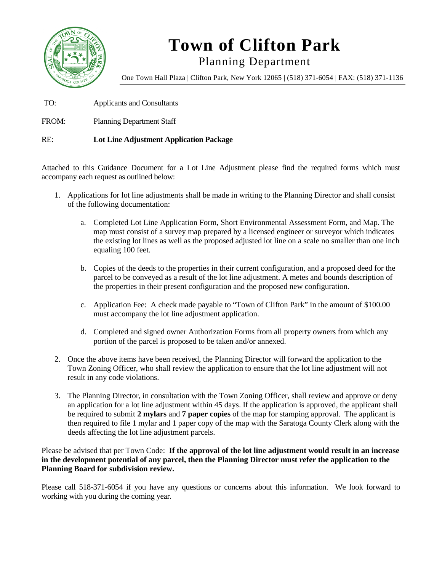

# **Town of Clifton Park**

Planning Department

One Town Hall Plaza | Clifton Park, New York 12065 | (518) 371-6054 | FAX: (518) 371-1136

TO: Applicants and Consultants

FROM: Planning Department Staff

### RE: **Lot Line Adjustment Application Package**

Attached to this Guidance Document for a Lot Line Adjustment please find the required forms which must accompany each request as outlined below:

- 1. Applications for lot line adjustments shall be made in writing to the Planning Director and shall consist of the following documentation:
	- a. Completed Lot Line Application Form, Short Environmental Assessment Form, and Map. The map must consist of a survey map prepared by a licensed engineer or surveyor which indicates the existing lot lines as well as the proposed adjusted lot line on a scale no smaller than one inch equaling 100 feet.
	- b. Copies of the deeds to the properties in their current configuration, and a proposed deed for the parcel to be conveyed as a result of the lot line adjustment. A metes and bounds description of the properties in their present configuration and the proposed new configuration.
	- c. Application Fee: A check made payable to "Town of Clifton Park" in the amount of \$100.00 must accompany the lot line adjustment application.
	- d. Completed and signed owner Authorization Forms from all property owners from which any portion of the parcel is proposed to be taken and/or annexed.
- 2. Once the above items have been received, the Planning Director will forward the application to the Town Zoning Officer, who shall review the application to ensure that the lot line adjustment will not result in any code violations.
- 3. The Planning Director, in consultation with the Town Zoning Officer, shall review and approve or deny an application for a lot line adjustment within 45 days. If the application is approved, the applicant shall be required to submit **2 mylars** and **7 paper copies** of the map for stamping approval. The applicant is then required to file 1 mylar and 1 paper copy of the map with the Saratoga County Clerk along with the deeds affecting the lot line adjustment parcels.

Please be advised that per Town Code: **If the approval of the lot line adjustment would result in an increase in the development potential of any parcel, then the Planning Director must refer the application to the Planning Board for subdivision review.** 

Please call 518-371-6054 if you have any questions or concerns about this information. We look forward to working with you during the coming year.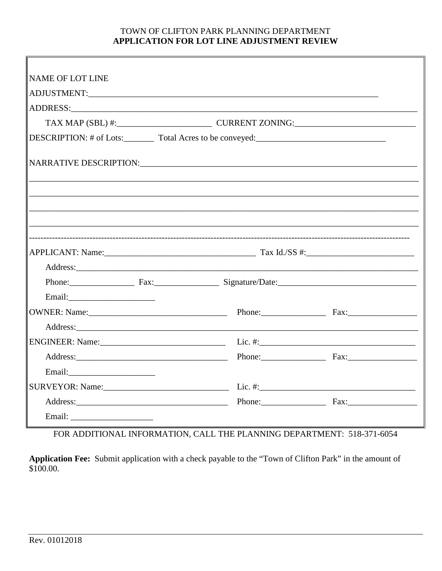### TOWN OF CLIFTON PARK PLANNING DEPARTMENT APPLICATION FOR LOT LINE ADJUSTMENT REVIEW

| NAME OF LOT LINE                                                                  |  |
|-----------------------------------------------------------------------------------|--|
|                                                                                   |  |
|                                                                                   |  |
|                                                                                   |  |
| DESCRIPTION: # of Lots:_________ Total Acres to be conveyed:_____________________ |  |
|                                                                                   |  |
|                                                                                   |  |
|                                                                                   |  |
|                                                                                   |  |
|                                                                                   |  |
| Phone: Fax: Fax: Signature/Date: Support Contains 2014                            |  |
|                                                                                   |  |
|                                                                                   |  |
|                                                                                   |  |
|                                                                                   |  |
|                                                                                   |  |
|                                                                                   |  |
|                                                                                   |  |
| Address: Fax: Fax:                                                                |  |
|                                                                                   |  |

FOR ADDITIONAL INFORMATION, CALL THE PLANNING DEPARTMENT: 518-371-6054

Application Fee: Submit application with a check payable to the "Town of Clifton Park" in the amount of \$100.00.

 $\overline{r}$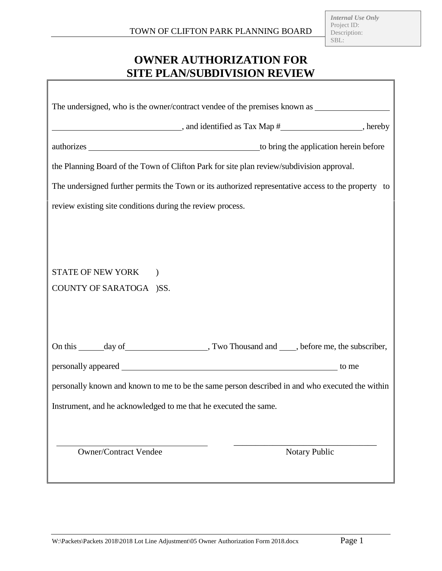1

# **OWNER AUTHORIZATION FOR SITE PLAN/SUBDIVISION REVIEW**

 $\Gamma$ 

| $\frac{1}{2}$ , and identified as Tax Map $\frac{1}{2}$ , hereby                                    |
|-----------------------------------------------------------------------------------------------------|
|                                                                                                     |
| the Planning Board of the Town of Clifton Park for site plan review/subdivision approval.           |
| The undersigned further permits the Town or its authorized representative access to the property to |
| review existing site conditions during the review process.                                          |
|                                                                                                     |
|                                                                                                     |
| STATE OF NEW YORK )                                                                                 |
| COUNTY OF SARATOGA )SS.                                                                             |
|                                                                                                     |
|                                                                                                     |
|                                                                                                     |
|                                                                                                     |
| personally known and known to me to be the same person described in and who executed the within     |
| Instrument, and he acknowledged to me that he executed the same.                                    |
|                                                                                                     |
| <b>Owner/Contract Vendee</b><br><b>Notary Public</b>                                                |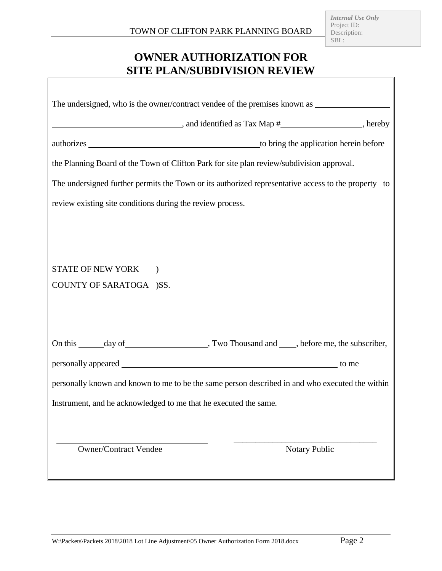# **OWNER AUTHORIZATION FOR SITE PLAN/SUBDIVISION REVIEW**

| $\blacksquare$ , and identified as Tax Map $\#$ _____________________, hereby                       |
|-----------------------------------------------------------------------------------------------------|
|                                                                                                     |
| the Planning Board of the Town of Clifton Park for site plan review/subdivision approval.           |
| The undersigned further permits the Town or its authorized representative access to the property to |
| review existing site conditions during the review process.                                          |
|                                                                                                     |
|                                                                                                     |
| STATE OF NEW YORK<br>$\lambda$                                                                      |
| COUNTY OF SARATOGA )SS.                                                                             |
|                                                                                                     |
|                                                                                                     |
|                                                                                                     |
|                                                                                                     |
| personally known and known to me to be the same person described in and who executed the within     |
| Instrument, and he acknowledged to me that he executed the same.                                    |
|                                                                                                     |
| <b>Owner/Contract Vendee</b><br><b>Notary Public</b>                                                |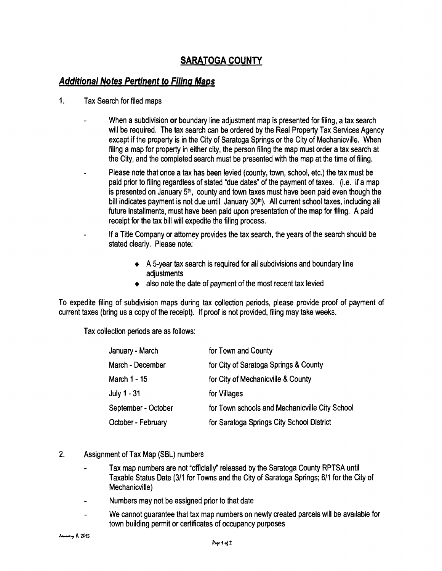### **SARATOGA COUNTY**

### **Additional Notes Pertinent to Filing Maps**

- 1. Tax Search for filed maps
	- When a subdivision or boundary line adjustment map is presented for filing, a tax search will be required. The tax search can be ordered by the Real Property Tax Services Agency except if the property is in the City of Saratoga Springs or the City of Mechanicville. When filing a map for property in either city, the person filing the map must order a tax search at the City, and the completed search must be presented with the map at the time of filing.
	- Please note that once a tax has been levied (county, town, school, etc.) the tax must be paid prior to filing regardless of stated "due dates" of the payment of taxes. (Le. if a map is presented on January  $5<sup>th</sup>$ , county and town taxes must have been paid even though the bill indicates payment is not due until January  $30<sup>th</sup>$ ). All current school taxes, including all future installments, must have been paid upon presentation of the map for filing. Apaid receipt for the tax bill will expedite the filing process.
	- If a Title Company or attorney provides the tax search, the years of the search should be stated clearly. Please note:
		- $\triangle$  A 5-year tax search is required for all subdivisions and boundary line adjustments
		- $\bullet$  also note the date of payment of the most recent tax levied

To expedite filing of subdivision maps during tax collection periods, please provide proof of payment of current taxes (bring us a copy of the receipt). If proof is not provided, filing may take weeks.

Tax collection periods are as follows:

| January - March     | for Town and County                            |
|---------------------|------------------------------------------------|
| March - December    | for City of Saratoga Springs & County          |
| March 1 - 15        | for City of Mechanicville & County             |
| July $1 - 31$       | for Villages                                   |
| September - October | for Town schools and Mechanicville City School |
| October - February  | for Saratoga Springs City School District      |

- 2. Assignment of Tax Map (SBL) numbers
	- Tax map numbers are not "officially" released by the Saratoga County RPTSA until Taxable Status Date (3/1 for Towns and the City of Saratoga Springs; 611 for the City of Mechanicville)
	- Numbers may not be assigned prior to that date
	- We cannot guarantee that tax map numbers on newly created parcels will be available for town building permit or certificates of occupancy purposes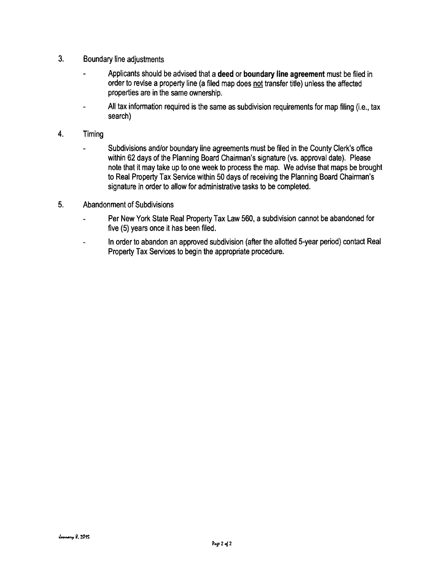- 3. Boundary line adjustments
	- Applicants should be advised that a**deed or boundary line agreement** must be filed in order to revise a property line (a filed map does not transfer title) unless the affected properties are in the same ownership.
	- All tax information required is the same as subdivision requirements for map filing (i.e., tax search)
- 4. Timing
	- Subdivisions and/or boundary line agreements must be filed in the County Clerk's office within 62 days of the Planning Board Chairman's signature (vs. approval date). Please note that it may take up to one week to process the map. We advise that maps be brought to Real Property Tax Service within 50 days of receiving the Planning Board Chairman's signature in order to allow for administrative tasks to be completed.
- 5. Abandonment of Subdivisions
	- Per New York State Real Property Tax Law 560, a subdivision cannot be abandoned for  $\blacksquare$ five (5) years once it has been filed.
	- In order to abandon an approved subdivision (after the allotted 5-year period) contact Real Property Tax Services to begin the appropriate procedure.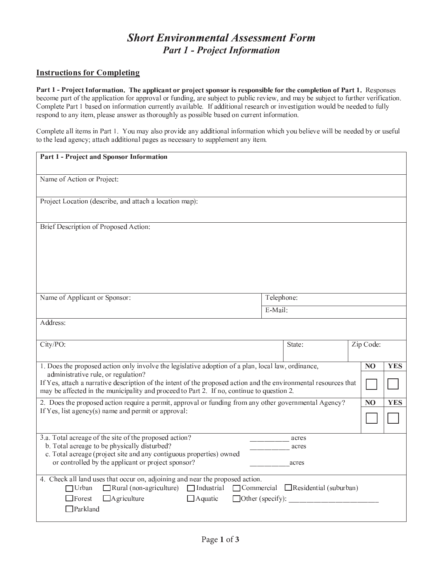## **Short Environmental Assessment Form Part 1 - Project Information**

#### **Instructions for Completing**

Part 1 - Project Information. The applicant or project sponsor is responsible for the completion of Part 1. Responses become part of the application for approval or funding, are subject to public review, and may be subject to further verification. Complete Part 1 based on information currently available. If additional research or investigation would be needed to fully respond to any item, please answer as thoroughly as possible based on current information.

Complete all items in Part 1. You may also provide any additional information which you believe will be needed by or useful to the lead agency; attach additional pages as necessary to supplement any item.

| Part 1 - Project and Sponsor Information                                                                                                                                                                                                                                                                                                                   |                       |                         |                |            |
|------------------------------------------------------------------------------------------------------------------------------------------------------------------------------------------------------------------------------------------------------------------------------------------------------------------------------------------------------------|-----------------------|-------------------------|----------------|------------|
| Name of Action or Project:                                                                                                                                                                                                                                                                                                                                 |                       |                         |                |            |
| Project Location (describe, and attach a location map):                                                                                                                                                                                                                                                                                                    |                       |                         |                |            |
| Brief Description of Proposed Action:                                                                                                                                                                                                                                                                                                                      |                       |                         |                |            |
|                                                                                                                                                                                                                                                                                                                                                            |                       |                         |                |            |
|                                                                                                                                                                                                                                                                                                                                                            |                       |                         |                |            |
| Name of Applicant or Sponsor:                                                                                                                                                                                                                                                                                                                              | Telephone:<br>E-Mail: |                         |                |            |
|                                                                                                                                                                                                                                                                                                                                                            |                       |                         |                |            |
| Address:                                                                                                                                                                                                                                                                                                                                                   |                       |                         |                |            |
| City/PO:                                                                                                                                                                                                                                                                                                                                                   |                       | State:                  | Zip Code:      |            |
| 1. Does the proposed action only involve the legislative adoption of a plan, local law, ordinance,<br>administrative rule, or regulation?<br>If Yes, attach a narrative description of the intent of the proposed action and the environmental resources that<br>may be affected in the municipality and proceed to Part 2. If no, continue to question 2. |                       |                         | N <sub>O</sub> | <b>YES</b> |
| 2. Does the proposed action require a permit, approval or funding from any other governmental Agency?<br>If Yes, list agency(s) name and permit or approval:                                                                                                                                                                                               |                       |                         | N <sub>O</sub> | <b>YES</b> |
| 3.a. Total acreage of the site of the proposed action?<br>b. Total acreage to be physically disturbed?<br>c. Total acreage (project site and any contiguous properties) owned<br>or controlled by the applicant or project sponsor?                                                                                                                        |                       | acres<br>acres<br>acres |                |            |
| 4. Check all land uses that occur on, adjoining and near the proposed action.<br>$\Box$ Rural (non-agriculture) $\Box$ Industrial $\Box$ Commercial $\Box$ Residential (suburban)<br>$\Box$ Urban<br>$\Box$ Forest<br>$\Box$ Agriculture<br>$\Box$ Aquatic<br>$\Box$ Other (specify):<br>$\Box$ Parkland                                                   |                       |                         |                |            |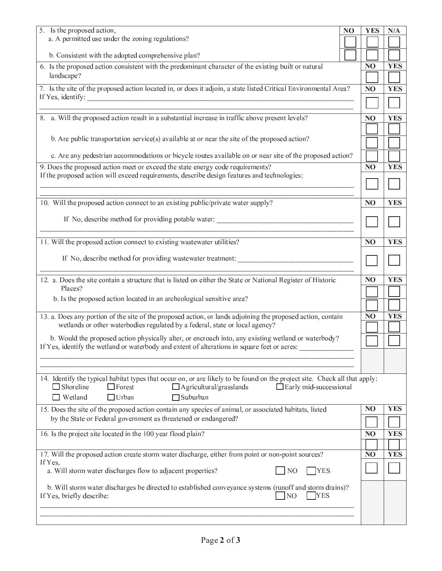| 5. Is the proposed action,                                                                                                                                                                                                  | N <sub>O</sub> | <b>YES</b>     | N/A        |
|-----------------------------------------------------------------------------------------------------------------------------------------------------------------------------------------------------------------------------|----------------|----------------|------------|
| a. A permitted use under the zoning regulations?                                                                                                                                                                            |                |                |            |
| b. Consistent with the adopted comprehensive plan?                                                                                                                                                                          |                |                |            |
| 6. Is the proposed action consistent with the predominant character of the existing built or natural                                                                                                                        |                | N <sub>O</sub> | <b>YES</b> |
| landscape?                                                                                                                                                                                                                  |                |                |            |
| 7. Is the site of the proposed action located in, or does it adjoin, a state listed Critical Environmental Area?                                                                                                            |                | N <sub>O</sub> | <b>YES</b> |
|                                                                                                                                                                                                                             |                |                |            |
| 8. a. Will the proposed action result in a substantial increase in traffic above present levels?                                                                                                                            |                | N <sub>O</sub> | <b>YES</b> |
| b. Are public transportation service(s) available at or near the site of the proposed action?                                                                                                                               |                |                |            |
|                                                                                                                                                                                                                             |                |                |            |
| c. Are any pedestrian accommodations or bicycle routes available on or near site of the proposed action?                                                                                                                    |                |                |            |
| 9. Does the proposed action meet or exceed the state energy code requirements?<br>If the proposed action will exceed requirements, describe design features and technologies:                                               |                | N <sub>O</sub> | <b>YES</b> |
|                                                                                                                                                                                                                             |                |                |            |
| 10. Will the proposed action connect to an existing public/private water supply?                                                                                                                                            |                | N <sub>O</sub> | <b>YES</b> |
| If No, describe method for providing potable water: _____________________________                                                                                                                                           |                |                |            |
|                                                                                                                                                                                                                             |                |                |            |
| 11. Will the proposed action connect to existing wastewater utilities?                                                                                                                                                      |                | N <sub>O</sub> | <b>YES</b> |
|                                                                                                                                                                                                                             |                |                |            |
|                                                                                                                                                                                                                             |                |                |            |
| 12. a. Does the site contain a structure that is listed on either the State or National Register of Historic<br>Places?                                                                                                     |                | N <sub>O</sub> | <b>YES</b> |
| b. Is the proposed action located in an archeological sensitive area?                                                                                                                                                       |                |                |            |
|                                                                                                                                                                                                                             |                |                |            |
| 13. a. Does any portion of the site of the proposed action, or lands adjoining the proposed action, contain<br>wetlands or other waterbodies regulated by a federal, state or local agency?                                 |                | N <sub>O</sub> | <b>YES</b> |
| b. Would the proposed action physically alter, or encroach into, any existing wetland or waterbody?                                                                                                                         |                |                |            |
| If Yes, identify the wetland or waterbody and extent of alterations in square feet or acres:                                                                                                                                |                |                |            |
|                                                                                                                                                                                                                             |                |                |            |
| 14. Identify the typical habitat types that occur on, or are likely to be found on the project site. Check all that apply:<br>$\Box$ Shoreline<br>$\Box$ Forest<br>$\Box$ Agricultural/grasslands<br>Early mid-successional |                |                |            |
| $\Box$ Urban<br>$\Box$ Suburban<br>$\Box$ Wetland                                                                                                                                                                           |                |                |            |
| 15. Does the site of the proposed action contain any species of animal, or associated habitats, listed                                                                                                                      |                | N <sub>O</sub> | <b>YES</b> |
| by the State or Federal government as threatened or endangered?                                                                                                                                                             |                |                |            |
| 16. Is the project site located in the 100 year flood plain?                                                                                                                                                                |                | N <sub>O</sub> | <b>YES</b> |
|                                                                                                                                                                                                                             |                |                |            |
| 17. Will the proposed action create storm water discharge, either from point or non-point sources?<br>If Yes,                                                                                                               |                | N <sub>O</sub> | <b>YES</b> |
| a. Will storm water discharges flow to adjacent properties?<br>N <sub>O</sub><br><b>TYES</b>                                                                                                                                |                |                |            |
| b. Will storm water discharges be directed to established conveyance systems (runoff and storm drains)?<br>NO <sub>1</sub><br><b>YES</b><br>If Yes, briefly describe:                                                       |                |                |            |
|                                                                                                                                                                                                                             |                |                |            |
|                                                                                                                                                                                                                             |                |                |            |